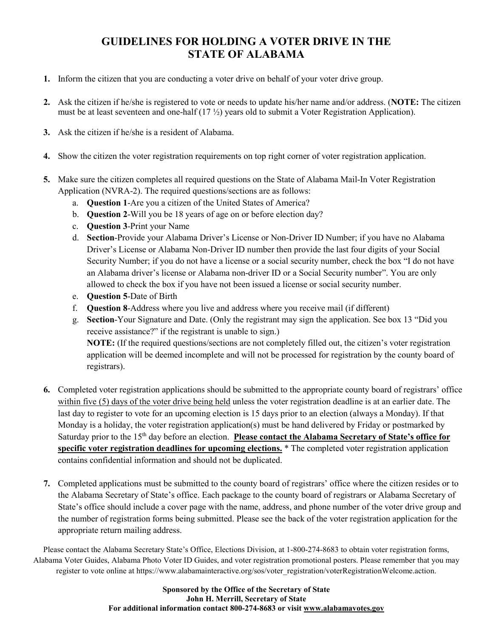#### **GUIDELINES FOR HOLDING A VOTER DRIVE IN THE STATE OF ALABAMA**

- **1.** Inform the citizen that you are conducting a voter drive on behalf of your voter drive group.
- **2.** Ask the citizen if he/she is registered to vote or needs to update his/her name and/or address. (**NOTE:** The citizen must be at least seventeen and one-half (17 ½) years old to submit a Voter Registration Application).
- **3.** Ask the citizen if he/she is a resident of Alabama.
- **4.** Show the citizen the voter registration requirements on top right corner of voter registration application.
- **5.** Make sure the citizen completes all required questions on the State of Alabama Mail-In Voter Registration Application (NVRA-2). The required questions/sections are as follows:
	- a. **Question 1**-Are you a citizen of the United States of America?
	- b. **Question 2**-Will you be 18 years of age on or before election day?
	- c. **Question 3**-Print your Name
	- d. **Section**-Provide your Alabama Driver's License or Non-Driver ID Number; if you have no Alabama Driver's License or Alabama Non-Driver ID number then provide the last four digits of your Social Security Number; if you do not have a license or a social security number, check the box "I do not have an Alabama driver's license or Alabama non-driver ID or a Social Security number". You are only allowed to check the box if you have not been issued a license or social security number.
	- e. **Question 5**-Date of Birth
	- f. **Question 8**-Address where you live and address where you receive mail (if different)
	- g. **Section**-Your Signature and Date. (Only the registrant may sign the application. See box 13 "Did you receive assistance?" if the registrant is unable to sign.) **NOTE:** (If the required questions/sections are not completely filled out, the citizen's voter registration application will be deemed incomplete and will not be processed for registration by the county board of registrars).
- **6.** Completed voter registration applications should be submitted to the appropriate county board of registrars' office within five (5) days of the voter drive being held unless the voter registration deadline is at an earlier date. The last day to register to vote for an upcoming election is 15 days prior to an election (always a Monday). If that Monday is a holiday, the voter registration application(s) must be hand delivered by Friday or postmarked by Saturday prior to the 15th day before an election. **Please contact the Alabama Secretary of State's office for specific voter registration deadlines for upcoming elections.** \* The completed voter registration application contains confidential information and should not be duplicated.
- **7.** Completed applications must be submitted to the county board of registrars' office where the citizen resides or to the Alabama Secretary of State's office. Each package to the county board of registrars or Alabama Secretary of State's office should include a cover page with the name, address, and phone number of the voter drive group and the number of registration forms being submitted. Please see the back of the voter registration application for the appropriate return mailing address.

Please contact the Alabama Secretary State's Office, Elections Division, at 1-800-274-8683 to obtain voter registration forms, Alabama Voter Guides, Alabama Photo Voter ID Guides, and voter registration promotional posters. Please remember that you may register to vote online at https://www.alabamainteractive.org/sos/voter\_registration/voterRegistrationWelcome.action.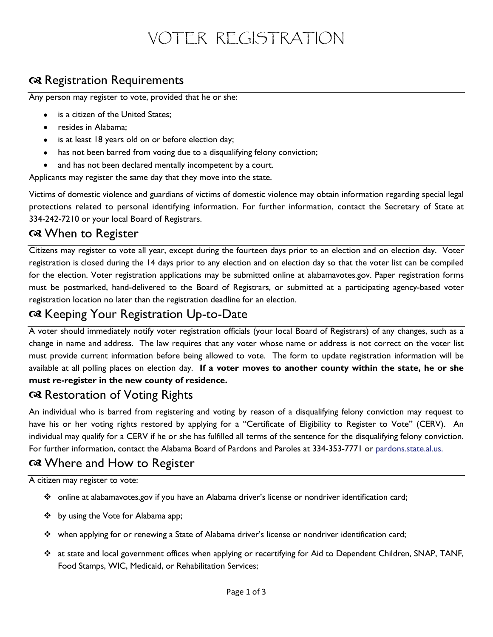# VOTER REGISTRATION

## a Registration Requirements

Any person may register to vote, provided that he or she:

- is a citizen of the United States;
- resides in Alabama;
- is at least 18 years old on or before election day;
- has not been barred from voting due to a disqualifying felony conviction;
- and has not been declared mentally incompetent by a court.

Applicants may register the same day that they move into the state.

Victims of domestic violence and guardians of victims of domestic violence may obtain information regarding special legal protections related to personal identifying information. For further information, contact the Secretary of State at 334-242-7210 or your local Board of Registrars.

#### When to Register

Citizens may register to vote all year, except during the fourteen days prior to an election and on election day. Voter registration is closed during the 14 days prior to any election and on election day so that the voter list can be compiled for the election. Voter registration applications may be submitted online at alabamavotes.gov. Paper registration forms must be postmarked, hand-delivered to the Board of Registrars, or submitted at a participating agency-based voter registration location no later than the registration deadline for an election.

## Reeping Your Registration Up-to-Date

A voter should immediately notify voter registration officials (your local Board of Registrars) of any changes, such as a change in name and address. The law requires that any voter whose name or address is not correct on the voter list must provide current information before being allowed to vote. The form to update registration information will be available at all polling places on election day. **If a voter moves to another county within the state, he or she must re-register in the new county of residence.**

#### a Restoration of Voting Rights

An individual who is barred from registering and voting by reason of a disqualifying felony conviction may request to have his or her voting rights restored by applying for a "Certificate of Eligibility to Register to Vote" (CERV). An individual may qualify for a CERV if he or she has fulfilled all terms of the sentence for the disqualifying felony conviction. For further information, contact the Alabama Board of Pardons and Paroles at 334-353-7771 or pardons.state.al.us.

# Where and How to Register

A citizen may register to vote:

- online at alabamavotes.gov if you have an Alabama driver's license or nondriver identification card;
- ❖ by using the Vote for Alabama app;
- when applying for or renewing a State of Alabama driver's license or nondriver identification card;
- at state and local government offices when applying or recertifying for Aid to Dependent Children, SNAP, TANF, Food Stamps, WIC, Medicaid, or Rehabilitation Services;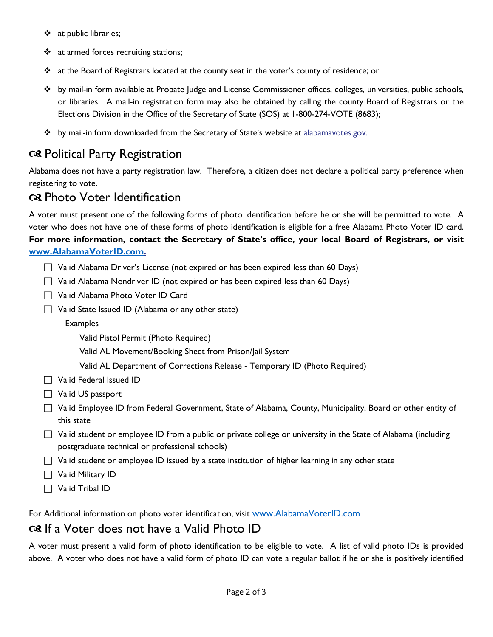- \* at public libraries;
- ❖ at armed forces recruiting stations;
- at the Board of Registrars located at the county seat in the voter's county of residence; or
- by mail-in form available at Probate Judge and License Commissioner offices, colleges, universities, public schools, or libraries. A mail-in registration form may also be obtained by calling the county Board of Registrars or the Elections Division in the Office of the Secretary of State (SOS) at 1-800-274-VOTE (8683);
- \* by mail-in form downloaded from the Secretary of State's website at alabamavotes.gov.

#### Political Party Registration

Alabama does not have a party registration law. Therefore, a citizen does not declare a political party preference when registering to vote.

#### Photo Voter Identification

A voter must present one of the following forms of photo identification before he or she will be permitted to vote. A voter who does not have one of these forms of photo identification is eligible for a free Alabama Photo Voter ID card. **For more information, contact the Secretary of State's office, your local Board of Registrars, or visit [www.AlabamaVoterID.com.](http://www.alabamavoterid.com/)**

| □ Valid Alabama Driver's License (not expired or has been expired less than 60 Days) |  |  |  |  |
|--------------------------------------------------------------------------------------|--|--|--|--|
|                                                                                      |  |  |  |  |

- $\Box$  Valid Alabama Nondriver ID (not expired or has been expired less than 60 Days)
- Valid Alabama Photo Voter ID Card
- $\Box$  Valid State Issued ID (Alabama or any other state)
	- Examples
		- Valid Pistol Permit (Photo Required)
		- Valid AL Movement/Booking Sheet from Prison/Jail System
		- Valid AL Department of Corrections Release Temporary ID (Photo Required)
- □ Valid Federal Issued ID
- Valid US passport
- Valid Employee ID from Federal Government, State of Alabama, County, Municipality, Board or other entity of this state
- $\Box$  Valid student or employee ID from a public or private college or university in the State of Alabama (including postgraduate technical or professional schools)
- $\Box$  Valid student or employee ID issued by a state institution of higher learning in any other state
- $\Box$  Valid Military ID
- $\Box$  Valid Tribal ID

For Additional information on photo voter identification, visit [www.AlabamaVoterID.com](http://www.alabamavoterid.com/)

## $\alpha$  If a Voter does not have a Valid Photo ID

A voter must present a valid form of photo identification to be eligible to vote. A list of valid photo IDs is provided above. A voter who does not have a valid form of photo ID can vote a regular ballot if he or she is positively identified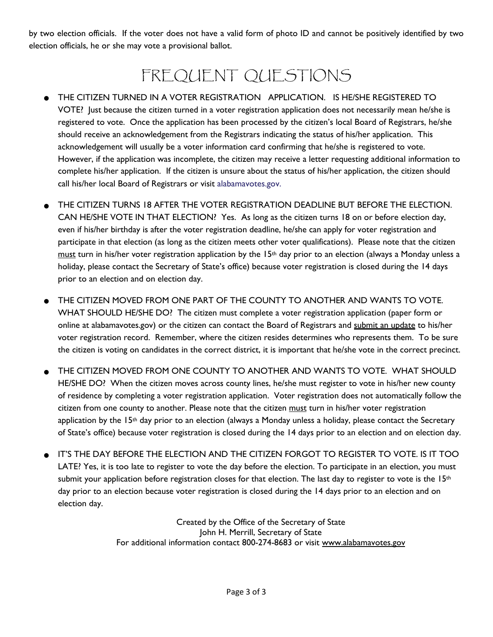by two election officials. If the voter does not have a valid form of photo ID and cannot be positively identified by two election officials, he or she may vote a provisional ballot.

# FREQUENT QUESTIONS

- THE CITIZEN TURNED IN A VOTER REGISTRATION APPLICATION. IS HE/SHE REGISTERED TO VOTE? Just because the citizen turned in a voter registration application does not necessarily mean he/she is registered to vote. Once the application has been processed by the citizen's local Board of Registrars, he/she should receive an acknowledgement from the Registrars indicating the status of his/her application. This acknowledgement will usually be a voter information card confirming that he/she is registered to vote. However, if the application was incomplete, the citizen may receive a letter requesting additional information to complete his/her application. If the citizen is unsure about the status of his/her application, the citizen should call his/her local Board of Registrars or visit alabamavotes.gov.
- THE CITIZEN TURNS 18 AFTER THE VOTER REGISTRATION DEADLINE BUT BEFORE THE ELECTION. CAN HE/SHE VOTE IN THAT ELECTION? Yes. As long as the citizen turns 18 on or before election day, even if his/her birthday is after the voter registration deadline, he/she can apply for voter registration and participate in that election (as long as the citizen meets other voter qualifications). Please note that the citizen must turn in his/her voter registration application by the  $15<sup>th</sup>$  day prior to an election (always a Monday unless a holiday, please contact the Secretary of State's office) because voter registration is closed during the 14 days prior to an election and on election day.
- THE CITIZEN MOVED FROM ONE PART OF THE COUNTY TO ANOTHER AND WANTS TO VOTE. WHAT SHOULD HE/SHE DO? The citizen must complete a voter registration application (paper form or online at alabamavotes.gov) or the citizen can contact the Board of Registrars and submit an update to his/her voter registration record. Remember, where the citizen resides determines who represents them. To be sure the citizen is voting on candidates in the correct district, it is important that he/she vote in the correct precinct.
- THE CITIZEN MOVED FROM ONE COUNTY TO ANOTHER AND WANTS TO VOTE. WHAT SHOULD HE/SHE DO? When the citizen moves across county lines, he/she must register to vote in his/her new county of residence by completing a voter registration application. Voter registration does not automatically follow the citizen from one county to another. Please note that the citizen must turn in his/her voter registration application by the 15<sup>th</sup> day prior to an election (always a Monday unless a holiday, please contact the Secretary of State's office) because voter registration is closed during the 14 days prior to an election and on election day.
- IT'S THE DAY BEFORE THE ELECTION AND THE CITIZEN FORGOT TO REGISTER TO VOTE. IS IT TOO LATE? Yes, it is too late to register to vote the day before the election. To participate in an election, you must submit your application before registration closes for that election. The last day to register to vote is the  $15<sup>th</sup>$ day prior to an election because voter registration is closed during the 14 days prior to an election and on election day.

Created by the Office of the Secretary of State John H. Merrill, Secretary of State For additional information contact 800-274-8683 or visit [www.alabamavotes.gov](http://www.alabamavotes.gov/)